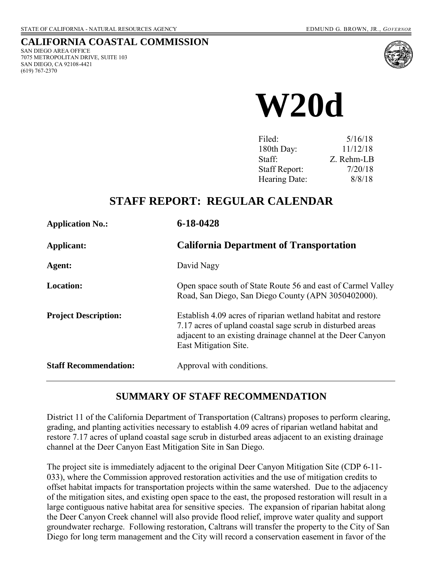#### **CALIFORNIA COASTAL COMMISSION**  SAN DIEGO AREA OFFICE

7075 METROPOLITAN DRIVE, SUITE 103 SAN DIEGO, CA 92108-4421 (619) 767-2370



 **W20d** 

| Filed:               | 5/16/18    |
|----------------------|------------|
| 180th Day:           | 11/12/18   |
| Staff:               | Z. Rehm-LB |
| <b>Staff Report:</b> | 7/20/18    |
| Hearing Date:        | 8/8/18     |

# **STAFF REPORT: REGULAR CALENDAR**

| <b>Application No.:</b>      | 6-18-0428                                                                                                                                                                                                          |  |
|------------------------------|--------------------------------------------------------------------------------------------------------------------------------------------------------------------------------------------------------------------|--|
| Applicant:                   | <b>California Department of Transportation</b>                                                                                                                                                                     |  |
| Agent:                       | David Nagy                                                                                                                                                                                                         |  |
| <b>Location:</b>             | Open space south of State Route 56 and east of Carmel Valley<br>Road, San Diego, San Diego County (APN 3050402000).                                                                                                |  |
| <b>Project Description:</b>  | Establish 4.09 acres of riparian wetland habitat and restore<br>7.17 acres of upland coastal sage scrub in disturbed areas<br>adjacent to an existing drainage channel at the Deer Canyon<br>East Mitigation Site. |  |
| <b>Staff Recommendation:</b> | Approval with conditions.                                                                                                                                                                                          |  |

### **SUMMARY OF STAFF RECOMMENDATION**

District 11 of the California Department of Transportation (Caltrans) proposes to perform clearing, grading, and planting activities necessary to establish 4.09 acres of riparian wetland habitat and restore 7.17 acres of upland coastal sage scrub in disturbed areas adjacent to an existing drainage channel at the Deer Canyon East Mitigation Site in San Diego.

The project site is immediately adjacent to the original Deer Canyon Mitigation Site (CDP 6-11- 033), where the Commission approved restoration activities and the use of mitigation credits to offset habitat impacts for transportation projects within the same watershed. Due to the adjacency of the mitigation sites, and existing open space to the east, the proposed restoration will result in a large contiguous native habitat area for sensitive species. The expansion of riparian habitat along the Deer Canyon Creek channel will also provide flood relief, improve water quality and support groundwater recharge. Following restoration, Caltrans will transfer the property to the City of San Diego for long term management and the City will record a conservation easement in favor of the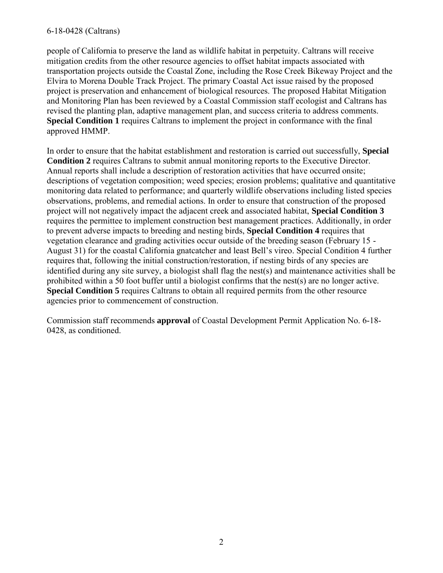#### 6-18-0428 (Caltrans)

people of California to preserve the land as wildlife habitat in perpetuity. Caltrans will receive mitigation credits from the other resource agencies to offset habitat impacts associated with transportation projects outside the Coastal Zone, including the Rose Creek Bikeway Project and the Elvira to Morena Double Track Project. The primary Coastal Act issue raised by the proposed project is preservation and enhancement of biological resources. The proposed Habitat Mitigation and Monitoring Plan has been reviewed by a Coastal Commission staff ecologist and Caltrans has revised the planting plan, adaptive management plan, and success criteria to address comments. **[Special Condition 1](#page-4-0)** requires Caltrans to implement the project in conformance with the final approved HMMP.

[In order to ensure that the habitat establishment and restoration is carried out successfully,](#page-4-0) **Special Condition 2** requires Caltrans to submit annual monitoring reports to the Executive Director. Annual reports shall include a description of restoration activities that have occurred onsite; descriptions of vegetation composition; weed species; erosion problems; qualitative and quantitative monitoring data related to performance; and quarterly wildlife observations including listed species observations, problems, and remedial actions. In order to ensure that construction of the proposed project will not negatively impact the adjacent creek and associated habitat, **[Special Condition 3](#page-4-0)** requires the permittee to implement construction best management practices. Additionally, in order to prevent adverse impacts to breeding and nesting birds, **[Special Condition 4](#page-5-0)** requires that vegetation clearance and grading activities occur outside of the breeding season (February 15 - August 31) for the coastal California gnatcatcher and least Bell's vireo. Special Condition 4 further requires that, following the initial construction/restoration, if nesting birds of any species are identified during any site survey, a biologist shall flag the nest(s) and maintenance activities shall be prohibited within a 50 foot buffer until a biologist confirms that the nest(s) are no longer active. **[Special Condition 5](#page-5-0)** requires Caltrans to obtain all required permits from the other resource agencies prior to commencement of construction.

Commission staff recommends **[approval](#page-3-0)** of Coastal Development Permit Application No. 6-18- 0428, as conditioned.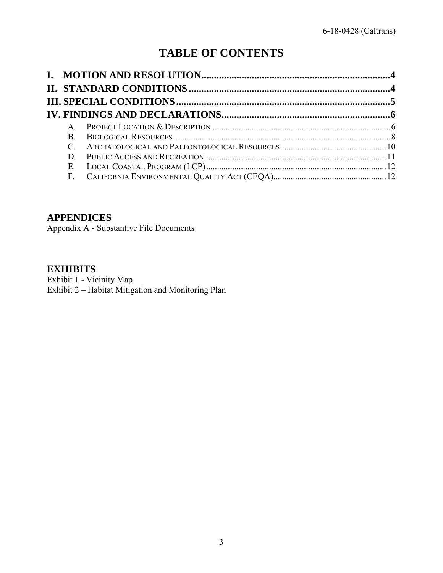# **TABLE OF CONTENTS**

| $\mathbf{A}$  |  |
|---------------|--|
| $\mathbf{B}$  |  |
| $\mathcal{C}$ |  |
| D.            |  |
| E.            |  |
|               |  |

### **APPENDICES**

Appendix A - Substantive File Documents

### **EXHIBITS**

<span id="page-2-0"></span>Exhibit 1 - Vicinity Map Exhibit 2 – Habitat Mitigation and Monitoring Plan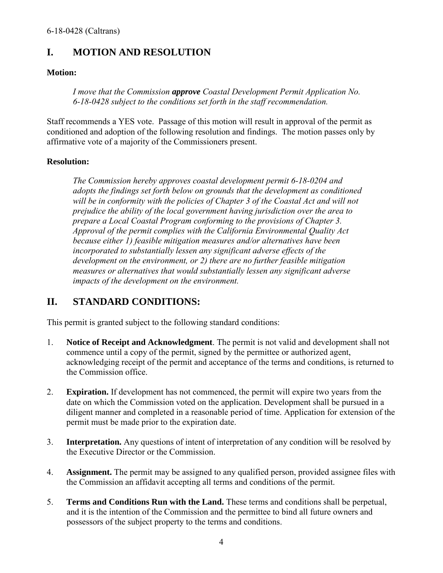# <span id="page-3-0"></span>**I. MOTION AND RESOLUTION**

#### **Motion:**

*I move that the Commission approve Coastal Development Permit Application No. 6-18-0428 subject to the conditions set forth in the staff recommendation.*

Staff recommends a YES vote. Passage of this motion will result in approval of the permit as conditioned and adoption of the following resolution and findings. The motion passes only by affirmative vote of a majority of the Commissioners present.

#### **Resolution:**

*The Commission hereby approves coastal development permit 6-18-0204 and adopts the findings set forth below on grounds that the development as conditioned will be in conformity with the policies of Chapter 3 of the Coastal Act and will not prejudice the ability of the local government having jurisdiction over the area to prepare a Local Coastal Program conforming to the provisions of Chapter 3. Approval of the permit complies with the California Environmental Quality Act because either 1) feasible mitigation measures and/or alternatives have been incorporated to substantially lessen any significant adverse effects of the development on the environment, or 2) there are no further feasible mitigation measures or alternatives that would substantially lessen any significant adverse impacts of the development on the environment.* 

### <span id="page-3-1"></span>**II. STANDARD CONDITIONS:**

This permit is granted subject to the following standard conditions:

- 1. **Notice of Receipt and Acknowledgment**. The permit is not valid and development shall not commence until a copy of the permit, signed by the permittee or authorized agent, acknowledging receipt of the permit and acceptance of the terms and conditions, is returned to the Commission office.
- 2. **Expiration.** If development has not commenced, the permit will expire two years from the date on which the Commission voted on the application. Development shall be pursued in a diligent manner and completed in a reasonable period of time. Application for extension of the permit must be made prior to the expiration date.
- 3. **Interpretation.** Any questions of intent of interpretation of any condition will be resolved by the Executive Director or the Commission.
- 4. **Assignment.** The permit may be assigned to any qualified person, provided assignee files with the Commission an affidavit accepting all terms and conditions of the permit.
- 5. **Terms and Conditions Run with the Land.** These terms and conditions shall be perpetual, and it is the intention of the Commission and the permittee to bind all future owners and possessors of the subject property to the terms and conditions.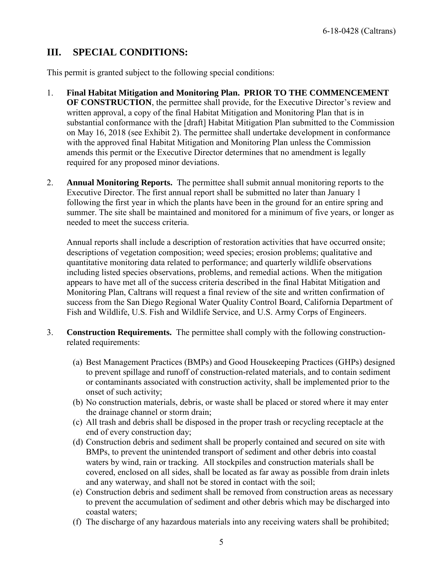#### <span id="page-4-1"></span><span id="page-4-0"></span>**III. SPECIAL CONDITIONS:**

This permit is granted subject to the following special conditions:

- 1. **Final Habitat Mitigation and Monitoring Plan. PRIOR TO THE COMMENCEMENT OF CONSTRUCTION**, the permittee shall provide, for the Executive Director's review and written approval, a copy of the final Habitat Mitigation and Monitoring Plan that is in substantial conformance with the [draft] Habitat Mitigation Plan submitted to the Commission on May 16, 2018 (see Exhibit 2). The permittee shall undertake development in conformance with the approved final Habitat Mitigation and Monitoring Plan unless the Commission amends this permit or the Executive Director determines that no amendment is legally required for any proposed minor deviations.
- 2. **Annual Monitoring Reports.** The permittee shall submit annual monitoring reports to the Executive Director. The first annual report shall be submitted no later than January 1 following the first year in which the plants have been in the ground for an entire spring and summer. The site shall be maintained and monitored for a minimum of five years, or longer as needed to meet the success criteria.

 Annual reports shall include a description of restoration activities that have occurred onsite; descriptions of vegetation composition; weed species; erosion problems; qualitative and quantitative monitoring data related to performance; and quarterly wildlife observations including listed species observations, problems, and remedial actions. When the mitigation appears to have met all of the success criteria described in the final Habitat Mitigation and Monitoring Plan, Caltrans will request a final review of the site and written confirmation of success from the San Diego Regional Water Quality Control Board, California Department of Fish and Wildlife, U.S. Fish and Wildlife Service, and U.S. Army Corps of Engineers.

- 3. **Construction Requirements.** The permittee shall comply with the following constructionrelated requirements:
	- (a) Best Management Practices (BMPs) and Good Housekeeping Practices (GHPs) designed to prevent spillage and runoff of construction-related materials, and to contain sediment or contaminants associated with construction activity, shall be implemented prior to the onset of such activity;
	- (b) No construction materials, debris, or waste shall be placed or stored where it may enter the drainage channel or storm drain;
	- (c) All trash and debris shall be disposed in the proper trash or recycling receptacle at the end of every construction day;
	- (d) Construction debris and sediment shall be properly contained and secured on site with BMPs, to prevent the unintended transport of sediment and other debris into coastal waters by wind, rain or tracking. All stockpiles and construction materials shall be covered, enclosed on all sides, shall be located as far away as possible from drain inlets and any waterway, and shall not be stored in contact with the soil;
	- (e) Construction debris and sediment shall be removed from construction areas as necessary to prevent the accumulation of sediment and other debris which may be discharged into coastal waters;
	- (f) The discharge of any hazardous materials into any receiving waters shall be prohibited;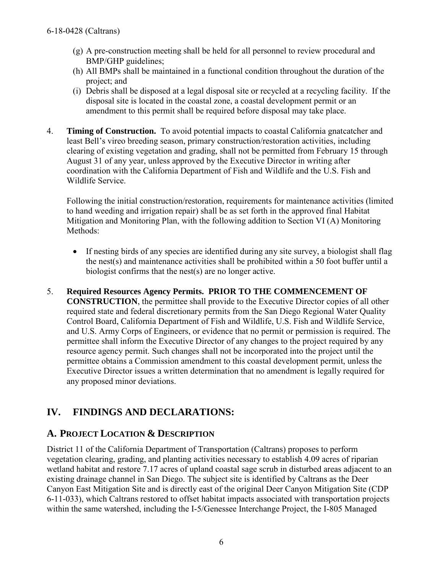- <span id="page-5-0"></span>(g) A pre-construction meeting shall be held for all personnel to review procedural and BMP/GHP guidelines;
- (h) All BMPs shall be maintained in a functional condition throughout the duration of the project; and
- (i) Debris shall be disposed at a legal disposal site or recycled at a recycling facility. If the disposal site is located in the coastal zone, a coastal development permit or an amendment to this permit shall be required before disposal may take place.
- 4. **Timing of Construction.** To avoid potential impacts to coastal California gnatcatcher and least Bell's vireo breeding season, primary construction/restoration activities, including clearing of existing vegetation and grading, shall not be permitted from February 15 through August 31 of any year, unless approved by the Executive Director in writing after coordination with the California Department of Fish and Wildlife and the U.S. Fish and Wildlife Service.

Following the initial construction/restoration, requirements for maintenance activities (limited to hand weeding and irrigation repair) shall be as set forth in the approved final Habitat Mitigation and Monitoring Plan, with the following addition to Section VI (A) Monitoring Methods:

- If nesting birds of any species are identified during any site survey, a biologist shall flag the nest(s) and maintenance activities shall be prohibited within a 50 foot buffer until a biologist confirms that the nest(s) are no longer active.
- 5. **Required Resources Agency Permits. PRIOR TO THE COMMENCEMENT OF CONSTRUCTION**, the permittee shall provide to the Executive Director copies of all other required state and federal discretionary permits from the San Diego Regional Water Quality Control Board, California Department of Fish and Wildlife, U.S. Fish and Wildlife Service, and U.S. Army Corps of Engineers, or evidence that no permit or permission is required. The permittee shall inform the Executive Director of any changes to the project required by any resource agency permit. Such changes shall not be incorporated into the project until the permittee obtains a Commission amendment to this coastal development permit, unless the Executive Director issues a written determination that no amendment is legally required for any proposed minor deviations.

# <span id="page-5-1"></span>**IV. FINDINGS AND DECLARATIONS:**

### <span id="page-5-2"></span>**A. PROJECT LOCATION & DESCRIPTION**

District 11 of the California Department of Transportation (Caltrans) proposes to perform vegetation clearing, grading, and planting activities necessary to establish 4.09 acres of riparian wetland habitat and restore 7.17 acres of upland coastal sage scrub in disturbed areas adjacent to an existing drainage channel in San Diego. The subject site is identified by Caltrans as the Deer Canyon East Mitigation Site and is directly east of the original Deer Canyon Mitigation Site (CDP 6-11-033), which Caltrans restored to offset habitat impacts associated with transportation projects within the same watershed, including the I-5/Genessee Interchange Project, the I-805 Managed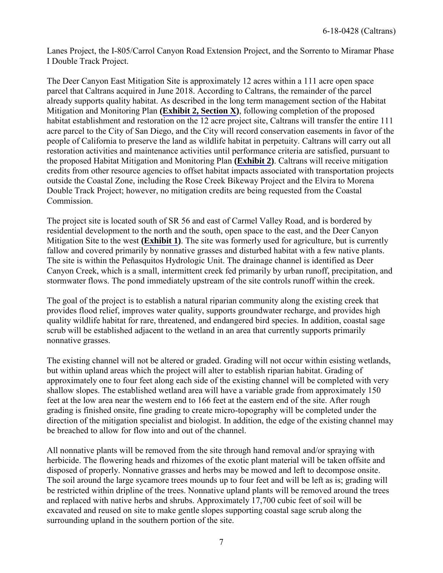Lanes Project, the I-805/Carrol Canyon Road Extension Project, and the Sorrento to Miramar Phase I Double Track Project.

The Deer Canyon East Mitigation Site is approximately 12 acres within a 111 acre open space parcel that Caltrans acquired in June 2018. According to Caltrans, the remainder of the parcel already supports quality habitat. As described in the long term management section of the Habitat Mitigation and Monitoring Plan **([Exhibit 2, Section X\)](https://documents.coastal.ca.gov/reports/2018/8/W20d/W20d-8-2018-exhibits.pdf)**, following completion of the proposed habitat establishment and restoration on the 12 acre project site, Caltrans will transfer the entire 111 acre parcel to the City of San Diego, and the City will record conservation easements in favor of the people of California to preserve the land as wildlife habitat in perpetuity. Caltrans will carry out all restoration activities and maintenance activities until performance criteria are satisfied, pursuant to the proposed Habitat Mitigation and Monitoring Plan **([Exhibit 2\)](https://documents.coastal.ca.gov/reports/2018/8/W20d/W20d-8-2018-exhibits.pdf)**. Caltrans will receive mitigation credits from other resource agencies to offset habitat impacts associated with transportation projects outside the Coastal Zone, including the Rose Creek Bikeway Project and the Elvira to Morena Double Track Project; however, no mitigation credits are being requested from the Coastal Commission.

The project site is located south of SR 56 and east of Carmel Valley Road, and is bordered by residential development to the north and the south, open space to the east, and the Deer Canyon Mitigation Site to the west **[\(Exhibit 1](https://documents.coastal.ca.gov/reports/2018/8/W20d/W20d-8-2018-exhibits.pdf))**. The site was formerly used for agriculture, but is currently fallow and covered primarily by nonnative grasses and disturbed habitat with a few native plants. The site is within the Peñasquitos Hydrologic Unit. The drainage channel is identified as Deer Canyon Creek, which is a small, intermittent creek fed primarily by urban runoff, precipitation, and stormwater flows. The pond immediately upstream of the site controls runoff within the creek.

The goal of the project is to establish a natural riparian community along the existing creek that provides flood relief, improves water quality, supports groundwater recharge, and provides high quality wildlife habitat for rare, threatened, and endangered bird species. In addition, coastal sage scrub will be established adjacent to the wetland in an area that currently supports primarily nonnative grasses.

The existing channel will not be altered or graded. Grading will not occur within esisting wetlands, but within upland areas which the project will alter to establish riparian habitat. Grading of approximately one to four feet along each side of the existing channel will be completed with very shallow slopes. The established wetland area will have a variable grade from approximately 150 feet at the low area near the western end to 166 feet at the eastern end of the site. After rough grading is finished onsite, fine grading to create micro-topography will be completed under the direction of the mitigation specialist and biologist. In addition, the edge of the existing channel may be breached to allow for flow into and out of the channel.

All nonnative plants will be removed from the site through hand removal and/or spraying with herbicide. The flowering heads and rhizomes of the exotic plant material will be taken offsite and disposed of properly. Nonnative grasses and herbs may be mowed and left to decompose onsite. The soil around the large sycamore trees mounds up to four feet and will be left as is; grading will be restricted within dripline of the trees. Nonnative upland plants will be removed around the trees and replaced with native herbs and shrubs. Approximately 17,700 cubic feet of soil will be excavated and reused on site to make gentle slopes supporting coastal sage scrub along the surrounding upland in the southern portion of the site.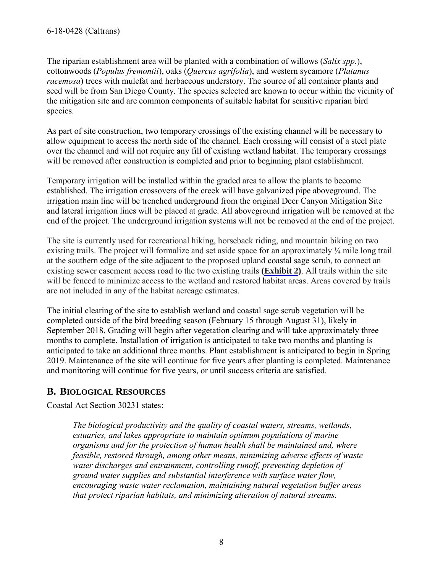<span id="page-7-0"></span>The riparian establishment area will be planted with a combination of willows (*Salix spp.*), cottonwoods (*Populus fremontii*), oaks (*Quercus agrifolia*), and western sycamore (*Platanus racemosa*) trees with mulefat and herbaceous understory. The source of all container plants and seed will be from San Diego County. The species selected are known to occur within the vicinity of the mitigation site and are common components of suitable habitat for sensitive riparian bird species.

As part of site construction, two temporary crossings of the existing channel will be necessary to allow equipment to access the north side of the channel. Each crossing will consist of a steel plate over the channel and will not require any fill of existing wetland habitat. The temporary crossings will be removed after construction is completed and prior to beginning plant establishment.

Temporary irrigation will be installed within the graded area to allow the plants to become established. The irrigation crossovers of the creek will have galvanized pipe aboveground. The irrigation main line will be trenched underground from the original Deer Canyon Mitigation Site and lateral irrigation lines will be placed at grade. All aboveground irrigation will be removed at the end of the project. The underground irrigation systems will not be removed at the end of the project.

The site is currently used for recreational hiking, horseback riding, and mountain biking on two existing trails. The project will formalize and set aside space for an approximately ¼ mile long trail at the southern edge of the site adjacent to the proposed upland coastal sage scrub, to connect an existing sewer easement access road to the two existing trails **[\(Exhibit 2](https://documents.coastal.ca.gov/reports/2018/8/W20d/W20d-8-2018-exhibits.pdf))**. All trails within the site will be fenced to minimize access to the wetland and restored habitat areas. Areas covered by trails are not included in any of the habitat acreage estimates.

The initial clearing of the site to establish wetland and coastal sage scrub vegetation will be completed outside of the bird breeding season (February 15 through August 31), likely in September 2018. Grading will begin after vegetation clearing and will take approximately three months to complete. Installation of irrigation is anticipated to take two months and planting is anticipated to take an additional three months. Plant establishment is anticipated to begin in Spring 2019. Maintenance of the site will continue for five years after planting is completed. Maintenance and monitoring will continue for five years, or until success criteria are satisfied.

### **B. BIOLOGICAL RESOURCES**

Coastal Act Section 30231 states:

*The biological productivity and the quality of coastal waters, streams, wetlands, estuaries, and lakes appropriate to maintain optimum populations of marine organisms and for the protection of human health shall be maintained and, where feasible, restored through, among other means, minimizing adverse effects of waste water discharges and entrainment, controlling runoff, preventing depletion of ground water supplies and substantial interference with surface water flow, encouraging waste water reclamation, maintaining natural vegetation buffer areas that protect riparian habitats, and minimizing alteration of natural streams.*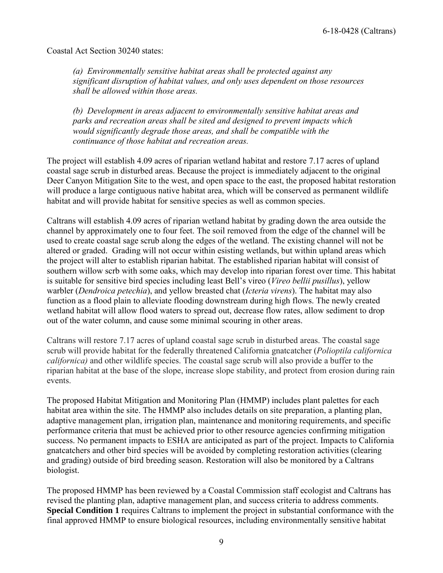6-18-0428 (Caltrans)

Coastal Act Section 30240 states:

*(a) Environmentally sensitive habitat areas shall be protected against any significant disruption of habitat values, and only uses dependent on those resources shall be allowed within those areas.* 

*(b) Development in areas adjacent to environmentally sensitive habitat areas and parks and recreation areas shall be sited and designed to prevent impacts which would significantly degrade those areas, and shall be compatible with the continuance of those habitat and recreation areas.*

The project will establish 4.09 acres of riparian wetland habitat and restore 7.17 acres of upland coastal sage scrub in disturbed areas. Because the project is immediately adjacent to the original Deer Canyon Mitigation Site to the west, and open space to the east, the proposed habitat restoration will produce a large contiguous native habitat area, which will be conserved as permanent wildlife habitat and will provide habitat for sensitive species as well as common species.

Caltrans will establish 4.09 acres of riparian wetland habitat by grading down the area outside the channel by approximately one to four feet. The soil removed from the edge of the channel will be used to create coastal sage scrub along the edges of the wetland. The existing channel will not be altered or graded. Grading will not occur within esisting wetlands, but within upland areas which the project will alter to establish riparian habitat. The established riparian habitat will consist of southern willow scrb with some oaks, which may develop into riparian forest over time. This habitat is suitable for sensitive bird species including least Bell's vireo (*Vireo bellii pusillus*), yellow warbler (*Dendroica petechia*), and yellow breasted chat (*Icteria virens*). The habitat may also function as a flood plain to alleviate flooding downstream during high flows. The newly created wetland habitat will allow flood waters to spread out, decrease flow rates, allow sediment to drop out of the water column, and cause some minimal scouring in other areas.

Caltrans will restore 7.17 acres of upland coastal sage scrub in disturbed areas. The coastal sage scrub will provide habitat for the federally threatened California gnatcatcher (*Polioptila californica californica)* and other wildlife species. The coastal sage scrub will also provide a buffer to the riparian habitat at the base of the slope, increase slope stability, and protect from erosion during rain events.

The proposed Habitat Mitigation and Monitoring Plan (HMMP) includes plant palettes for each habitat area within the site. The HMMP also includes details on site preparation, a planting plan, adaptive management plan, irrigation plan, maintenance and monitoring requirements, and specific performance criteria that must be achieved prior to other resource agencies confirming mitigation success. No permanent impacts to ESHA are anticipated as part of the project. Impacts to California gnatcatchers and other bird species will be avoided by completing restoration activities (clearing and grading) outside of bird breeding season. Restoration will also be monitored by a Caltrans biologist.

The proposed HMMP has been reviewed by a Coastal Commission staff ecologist and Caltrans has revised the planting plan, adaptive management plan, and success criteria to address comments. **[Special Condition 1](#page-4-0)** requires Caltrans to implement the project in substantial conformance with the final approved HMMP to ensure biological resources, including environmentally sensitive habitat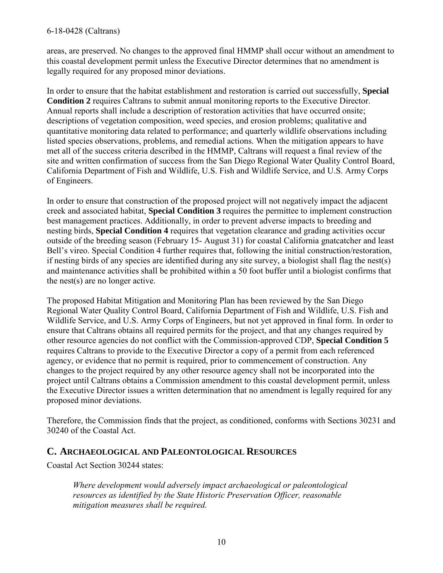#### <span id="page-9-0"></span>6-18-0428 (Caltrans)

areas, are preserved. No changes to the approved final HMMP shall occur without an amendment to this coastal development permit unless the Executive Director determines that no amendment is legally required for any proposed minor deviations.

[In order to ensure that the habitat establishment and restoration is carried out successfully,](#page-4-0) **Special Condition 2** requires Caltrans to submit annual monitoring reports to the Executive Director. Annual reports shall include a description of restoration activities that have occurred onsite; descriptions of vegetation composition, weed species, and erosion problems; qualitative and quantitative monitoring data related to performance; and quarterly wildlife observations including listed species observations, problems, and remedial actions. When the mitigation appears to have met all of the success criteria described in the HMMP, Caltrans will request a final review of the site and written confirmation of success from the San Diego Regional Water Quality Control Board, California Department of Fish and Wildlife, U.S. Fish and Wildlife Service, and U.S. Army Corps of Engineers.

In order to ensure that construction of the proposed project will not negatively impact the adjacent creek and associated habitat, **[Special Condition 3](#page-4-0)** requires the permittee to implement construction best management practices. Additionally, in order to prevent adverse impacts to breeding and nesting birds, **[Special Condition 4](#page-5-0)** requires that vegetation clearance and grading activities occur outside of the breeding season (February 15- August 31) for coastal California gnatcatcher and least Bell's vireo. Special Condition 4 further requires that, following the initial construction/restoration, if nesting birds of any species are identified during any site survey, a biologist shall flag the nest(s) and maintenance activities shall be prohibited within a 50 foot buffer until a biologist confirms that the nest(s) are no longer active.

The proposed Habitat Mitigation and Monitoring Plan has been reviewed by the San Diego Regional Water Quality Control Board, California Department of Fish and Wildlife, U.S. Fish and Wildlife Service, and U.S. Army Corps of Engineers, but not yet approved in final form. In order to ensure that Caltrans obtains all required permits for the project, and that any changes required by other resource agencies do not conflict with the Commission-approved CDP, **[Special Condition 5](#page-5-0)** requires Caltrans to provide to the Executive Director a copy of a permit from each referenced agency, or evidence that no permit is required, prior to commencement of construction. Any changes to the project required by any other resource agency shall not be incorporated into the project until Caltrans obtains a Commission amendment to this coastal development permit, unless the Executive Director issues a written determination that no amendment is legally required for any proposed minor deviations.

Therefore, the Commission finds that the project, as conditioned, conforms with Sections 30231 and 30240 of the Coastal Act.

#### **C. ARCHAEOLOGICAL AND PALEONTOLOGICAL RESOURCES**

Coastal Act Section 30244 states:

*Where development would adversely impact archaeological or paleontological resources as identified by the State Historic Preservation Officer, reasonable mitigation measures shall be required.*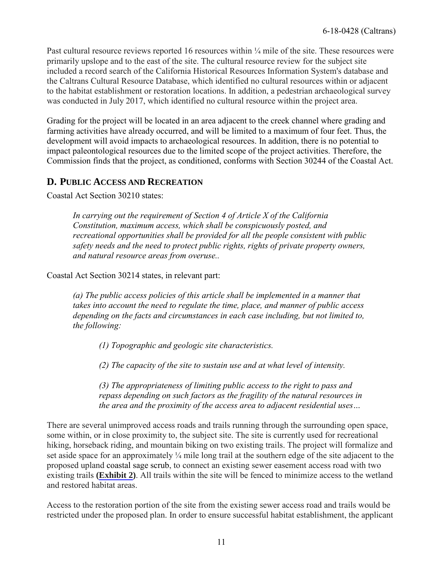<span id="page-10-0"></span>Past cultural resource reviews reported 16 resources within ¼ mile of the site. These resources were primarily upslope and to the east of the site. The cultural resource review for the subject site included a record search of the California Historical Resources Information System's database and the Caltrans Cultural Resource Database, which identified no cultural resources within or adjacent to the habitat establishment or restoration locations. In addition, a pedestrian archaeological survey was conducted in July 2017, which identified no cultural resource within the project area.

Grading for the project will be located in an area adjacent to the creek channel where grading and farming activities have already occurred, and will be limited to a maximum of four feet. Thus, the development will avoid impacts to archaeological resources. In addition, there is no potential to impact paleontological resources due to the limited scope of the project activities. Therefore, the Commission finds that the project, as conditioned, conforms with Section 30244 of the Coastal Act.

#### **D. PUBLIC ACCESS AND RECREATION**

Coastal Act Section 30210 states:

*In carrying out the requirement of Section 4 of Article X of the California Constitution, maximum access, which shall be conspicuously posted, and recreational opportunities shall be provided for all the people consistent with public safety needs and the need to protect public rights, rights of private property owners, and natural resource areas from overuse..* 

Coastal Act Section 30214 states, in relevant part:

*(a) The public access policies of this article shall be implemented in a manner that takes into account the need to regulate the time, place, and manner of public access depending on the facts and circumstances in each case including, but not limited to, the following:* 

 *(1) Topographic and geologic site characteristics.* 

 *(2) The capacity of the site to sustain use and at what level of intensity.* 

*(3) The appropriateness of limiting public access to the right to pass and repass depending on such factors as the fragility of the natural resources in the area and the proximity of the access area to adjacent residential uses…* 

There are several unimproved access roads and trails running through the surrounding open space, some within, or in close proximity to, the subject site. The site is currently used for recreational hiking, horseback riding, and mountain biking on two existing trails. The project will formalize and set aside space for an approximately ¼ mile long trail at the southern edge of the site adjacent to the proposed upland coastal sage scrub, to connect an existing sewer easement access road with two existing trails **([Exhibit 2\)](https://documents.coastal.ca.gov/reports/2018/8/W20d/W20d-8-2018-exhibits.pdf)**. All trails within the site will be fenced to minimize access to the wetland and restored habitat areas.

Access to the restoration portion of the site from the existing sewer access road and trails would be restricted under the proposed plan. In order to ensure successful habitat establishment, the applicant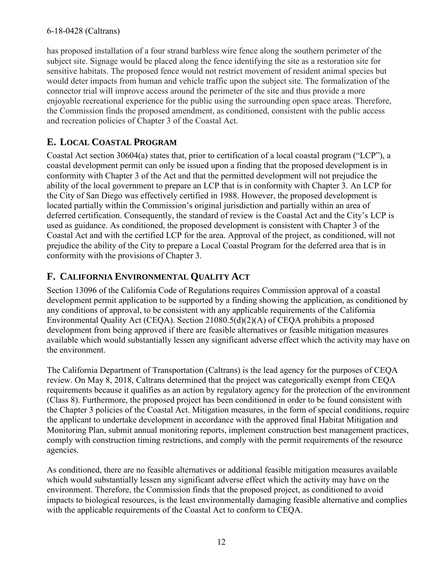has proposed installation of a four strand barbless wire fence along the southern perimeter of the subject site. Signage would be placed along the fence identifying the site as a restoration site for sensitive habitats. The proposed fence would not restrict movement of resident animal species but would deter impacts from human and vehicle traffic upon the subject site. The formalization of the connector trial will improve access around the perimeter of the site and thus provide a more enjoyable recreational experience for the public using the surrounding open space areas. Therefore, the Commission finds the proposed amendment, as conditioned, consistent with the public access and recreation policies of Chapter 3 of the Coastal Act.

# <span id="page-11-0"></span>**E. LOCAL COASTAL PROGRAM**

Coastal Act section 30604(a) states that, prior to certification of a local coastal program ("LCP"), a coastal development permit can only be issued upon a finding that the proposed development is in conformity with Chapter 3 of the Act and that the permitted development will not prejudice the ability of the local government to prepare an LCP that is in conformity with Chapter 3. An LCP for the City of San Diego was effectively certified in 1988. However, the proposed development is located partially within the Commission's original jurisdiction and partially within an area of deferred certification. Consequently, the standard of review is the Coastal Act and the City's LCP is used as guidance. As conditioned, the proposed development is consistent with Chapter 3 of the Coastal Act and with the certified LCP for the area. Approval of the project, as conditioned, will not prejudice the ability of the City to prepare a Local Coastal Program for the deferred area that is in conformity with the provisions of Chapter 3.

# <span id="page-11-1"></span>**F. CALIFORNIA ENVIRONMENTAL QUALITY ACT**

Section 13096 of the California Code of Regulations requires Commission approval of a coastal development permit application to be supported by a finding showing the application, as conditioned by any conditions of approval, to be consistent with any applicable requirements of the California Environmental Quality Act (CEQA). Section 21080.5(d)(2)(A) of CEQA prohibits a proposed development from being approved if there are feasible alternatives or feasible mitigation measures available which would substantially lessen any significant adverse effect which the activity may have on the environment.

The California Department of Transportation (Caltrans) is the lead agency for the purposes of CEQA review. On May 8, 2018, Caltrans determined that the project was categorically exempt from CEQA requirements because it qualifies as an action by regulatory agency for the protection of the environment (Class 8). Furthermore, the proposed project has been conditioned in order to be found consistent with the Chapter 3 policies of the Coastal Act. Mitigation measures, in the form of special conditions, require the applicant to undertake development in accordance with the approved final Habitat Mitigation and Monitoring Plan, submit annual monitoring reports, implement construction best management practices, comply with construction timing restrictions, and comply with the permit requirements of the resource agencies.

As conditioned, there are no feasible alternatives or additional feasible mitigation measures available which would substantially lessen any significant adverse effect which the activity may have on the environment. Therefore, the Commission finds that the proposed project, as conditioned to avoid impacts to biological resources, is the least environmentally damaging feasible alternative and complies with the applicable requirements of the Coastal Act to conform to CEQA.